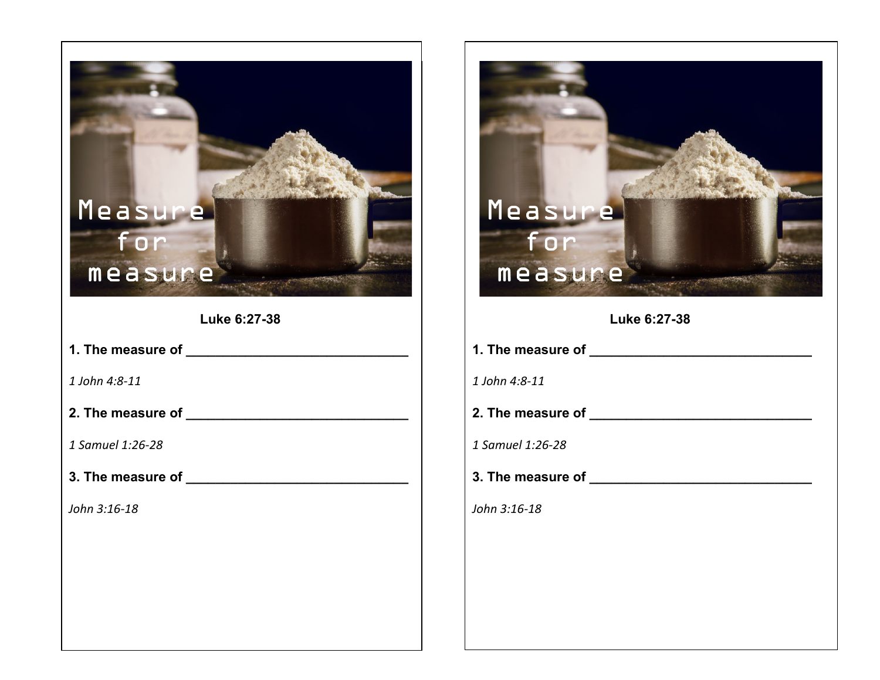## $\overline{\phantom{a}}$ Measure Measure for for measure measure **Luke 6:27-38 Luke 6:27-38 1.** The measure of **1.** The measure of *1 John 4:8-11 1 John 4:8-11* **2. The measure of \_\_\_\_\_\_\_\_\_\_\_\_\_\_\_\_\_\_\_\_\_\_\_\_\_\_\_\_\_\_ 2.** The measure of *1 Samuel 1:26-28 1 Samuel 1:26-28* **3. The measure of \_\_\_\_\_\_\_\_\_\_\_\_\_\_\_\_\_\_\_\_\_\_\_\_\_\_\_\_\_\_ 3. The measure of \_\_\_\_\_\_\_\_\_\_\_\_\_\_\_\_\_\_\_\_\_\_\_\_\_\_\_\_\_\_** *John 3:16-18 John 3:16-18*